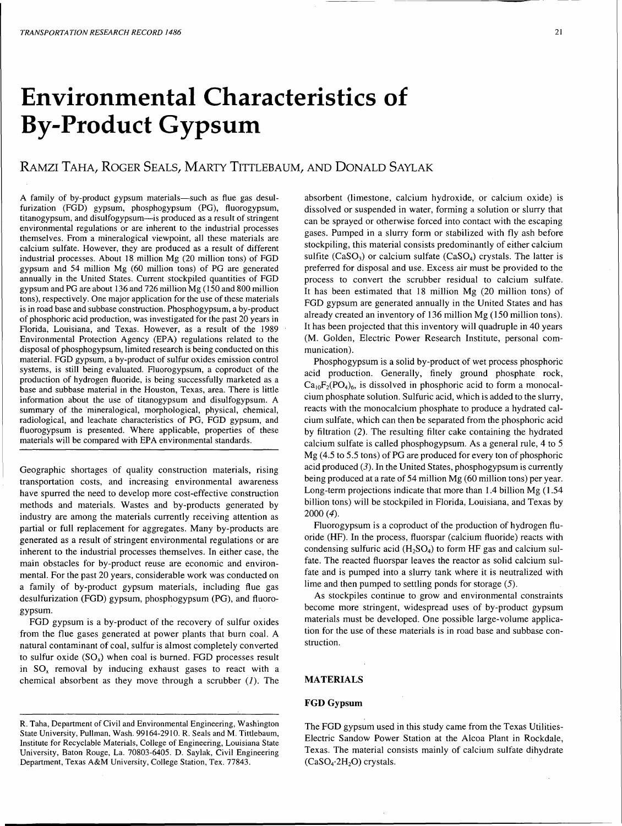# **Environmental Characteristics of By-Product Gypsum**

# RAMZI TAHA, ROGER SEALS, MARTY TITTLEBAUM, AND DONALD SAYLAK

A family of by-product gypsum materials-such as flue gas desulfurization (FGD) gypsum, phosphogypsum (PG), fluorogypsum, titanogypsum, and disulfogypsum-is produced as a result of stringent environmental regulations or are inherent to the industrial processes themselves. From a mineralogical viewpoint, all these materials are calcium sulfate. However, they are produced as a result of different industrial processes. About 18 million Mg (20 million tons) of FGD gypsum and 54 million Mg (60 million tons) of PG are generated annually in the United States. Current stockpiled quantities of FGD gypsum and PG are about 136 and 726 million Mg ( 150 and 800 million tons), respectively. One major application for the use of these materials is in road base and subbase construction. Phosphogypsum, a by-product of phosphoric acid production, was investigated for the past 20 years in Florida, Louisiana, and Texas. However, as a result of the 1989 Environmental Protection Agency (EPA) regulations related to the disposal of phosphogypsum, limited research is being conducted on this material. FGD gypsum, a by-product of sulfur oxides emission control systems, is still being evaluated. Fluorogypsum, a coproduct of the production of hydrogen fluoride, is being successfully marketed as a base and subbase material in the Houston, Texas, area. There is little information about the use of titanogypsum and disulfogypsum. A summary of the mineralogical, morphological, physical, chemical, radiological, and leachate characteristics of PG, FGD gypsum, and fluorogypsum is presented. Where applicable, properties of these materials will be compared with EPA environmental standards.

Geographic shortages of quality construction materials, rising transportation costs, and increasing environmental awareness have spurred the need to develop more cost-effective construction methods and materials. Wastes and by-products generated by industry are among the materials currently receiving attention as partial or full replacement for aggregates. Many by-products are generated as a result of stringent environmental regulations or are inherent to the industrial processes themselves. In either case, the main obstacles for by-product reuse are economic and environmental. For the past 20 years, considerable work was conducted on a family of by-product gypsum materials, including flue gas desulfurization (FGD) gypsum, phosphogypsum (PG), and fluorogypsum.

FGD gypsum is a by-product of the recovery of sulfur oxides from the flue gases generated at power plants that burn coal. A natural contaminant of coal, sulfur is almost completely converted to sulfur oxide  $(SO_x)$  when coal is burned. FGD processes result in  $SO<sub>x</sub>$  removal by inducing exhaust gases to react with a chemical absorbent as they move through a scrubber  $(1)$ . The

absorbent (limestone, calcium hydroxide, or calcium oxide) is dissolved or suspended in water, forming a solution or slurry that can be sprayed or otherwise forced into contact with the escaping gases. Pumped in a slurry form or stabilized with fly ash before stockpiling, this material consists predominantly of either calcium sulfite  $(CaSO<sub>3</sub>)$  or calcium sulfate  $(CaSO<sub>4</sub>)$  crystals. The latter is preferred for disposal and use. Excess air must be provided to the process to convert the scrubber residual to calcium sulfate. It has been estimated that 18 million Mg (20 million tons) of FGD gypsum are generated annually in the United States and has already created an inventory of 136 million Mg (150 million tons). It has been projected that this inventory will quadruple in 40 years (M. Golden, Electric Power Research Institute, personal communication).

Phosphogypsum is a solid by-product of wet process phosphoric acid production. Generally, finely ground phosphate rock,  $Ca_{10}F_2(PO_4)_6$ , is dissolved in phosphoric acid to form a monocalcium phosphate solution. Sulfuric acid, which is added to the slurry, reacts with the monocalcium phosphate to produce a hydrated calcium sulfate, which can then be separated from the phosphoric acid by filtration (2). The resulting filter cake containing the hydrated calcium sulfate is called phosphogypsum. As a general rule, 4 to 5 Mg (4.5 to 5.5 tons) of PG are produced for every ton of phosphoric acid produced  $(3)$ . In the United States, phosphogypsum is currently being produced at a rate of 54 million Mg (60 million tons) per year. Long-term projections indicate that more than 1.4 billion Mg (1.54 billion tons) will be stockpiled in Florida, Louisiana, and Texas by 2000 (4).

Fluorogypsum is a coproduct of the production of hydrogen fluoride (HF). In the process, fluorspar (caleium fluoride) reacts with condensing sulfuric acid  $(H_2SO_4)$  to form HF gas and calcium sulfate. The reacted fluorspar leaves the reactor as solid calcium sulfate and is pumped into a slurry tank where it is neutralized with lime and then pumped to settling ponds for storage (5).

As stockpiles continue to grow and environmental constraints become more stringent, widespread uses of by-product gypsum materials must be developed. One possible large-volume application for the use of these materials is in road base and subbase construction.

# MATERIALS

### FGDGypsum

The FGD gypsum used in this study came from the Texas Utilities-Electric Sandow Power Station at the Alcoa Plant in Rockdale, Texas. The material consists mainly of calcium sulfate dihydrate  $(CaSO<sub>4</sub>·2H<sub>2</sub>O)$  crystals.

R. Taha, Department of Civil and Environmental Engineering, Washington State University, Pullman, Wash. 99164-2910. R. Seals and M. Tittlebaum, Institute for Recyclable Materials, College of Engineering, Louisiana State University, Baton Rouge, La. 70803-6405. D. Saylak, Civil Engineering Department, Texas A&M University, College Station, Tex. 77843.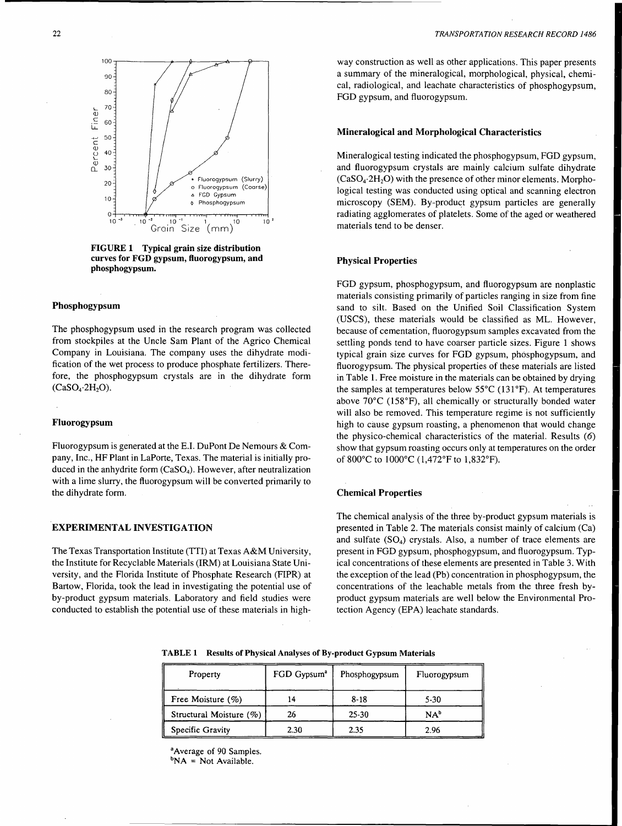

FIGURE 1 Typical grain size distribution curves for FGD gypsum, fluorogypsum, and phosphogypsum.

#### Phosphogypsum

The phosphogypsum used in the research program was collected from stockpiles at the Uncle Sam Plant of the Agrico Chemical Company in Louisiana. The company uses the dihydrate modification of the wet process to produce phosphate fertilizers. Therefore, the phosphogypsum crystals are in the dihydrate form  $(CaSO<sub>4</sub>·2H<sub>2</sub>O).$ 

#### Fluorogypsum

Fluorogypsum is generated at the E.I. DuPont De Nemours & Company, Inc., HF Plant in LaPorte, Texas. The material is initially produced in the anhydrite form (CaS04). However, after neutralization with a lime slurry, the fluorogypsum will be converted primarily to the dihydrate form.

## EXPERIMENTAL INVESTIGATION

The Texas Transportation Institute (TTI) at Texas A&M University, the Institute for Recyclable Materials (IRM) at Louisiana State University, and the Florida Institute of Phosphate Research (FIPR) at Bartow, Florida, took the lead in investigating the potential use of by-product gypsum materials. Laboratory and field studies were conducted to establish the potential use of these materials in high-

way construction as well as other applications. This paper presents a summary of the mineralogical, morphological, physical, chemical, radiological, and leachate characteristics of phosphogypsum, FGD gypsum, and fluorogypsum.

#### Mineralogical and Morphological Characteristics

Mineralogical testing indicated the phosphogypsum, FGD gypsum, and fluorogypsum crystals are mainly calcium sulfate dihydrate  $(CaSO<sub>4</sub>·2H<sub>2</sub>O)$  with the presence of other minor elements. Morphological testing was conducted using optical and scanning electron microscopy (SEM). By-product gypsum particles are generally radiating agglomerates of platelets. Some of the aged or weathered materials tend to be denser.

# Physical Properties

FGD gypsum, phosphogypsum, and fluorogypsum are nonplastic materials consisting primarily of particles ranging in size from fine sand to silt. Based on the Unified Soil Classification System (USCS), these materials would be classified as ML. However, because of cementation, fluorogypsum samples excavated from the settling ponds tend to have coarser particle sizes. Figure 1 shows typical grain size curves for FGD gypsum, phosphogypsum, and fluorogypsum. The physical properties of these materials are listed in Table 1. Free moisture in the materials can be obtained by drying the samples at temperatures below 55°C (131°F). At temperatures above 70°C (158°F), all chemically or structurally bonded water will also be removed. This temperature regime is not sufficiently high to cause gypsum roasting, a phenomenon that would change the physico-chemical characteristics of the material. Results (6) show that gypsum roasting occurs only at temperatures on the order of 800°C to 1000°c (1,472°F to l,832°F).

#### Chemical Properties

The chemical analysis of the three by-product gypsum materials is presented in Table 2. The materials consist mainly of calcium (Ca) and sulfate  $(SO<sub>4</sub>)$  crystals. Also, a number of trace elements are present in FGD gypsum, phosphogypsum, and fluorogypsum. Typical concentrations of these elements are presented in Table 3. With the exception of the lead (Pb) concentration in phosphogypsum, the concentrations of the leachable metals from the three fresh byproduct gypsum materials are well below the Environmental Protection Agency (EPA) leachate standards.

|  | TABLE 1 Results of Physical Analyses of By-product Gypsum Materials |  |
|--|---------------------------------------------------------------------|--|
|--|---------------------------------------------------------------------|--|

| Property                   | FGD Gypsum <sup>a</sup> | Phosphogypsum | Fluorogypsum |  |
|----------------------------|-------------------------|---------------|--------------|--|
| Free Moisture $(\% )$      | 14                      | $8 - 18$      | 5-30         |  |
| Structural Moisture $(\%)$ | 26                      | 25-30         | $NA^b$       |  |
| Specific Gravity           | 2.30                    | 2.35          | 2.96         |  |

<sup>a</sup> Average of 90 Samples.

 $bNA = Not Available.$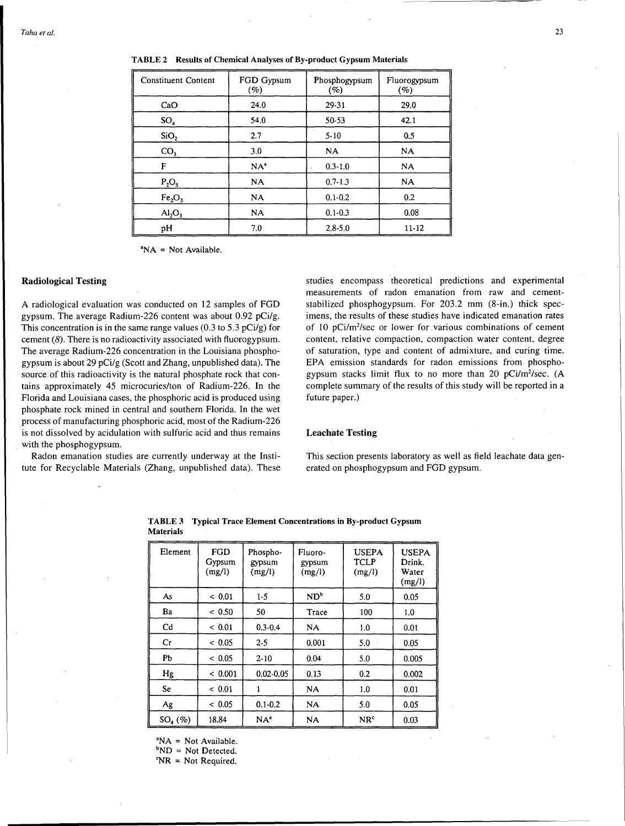| <b>Constituent Content</b>     | FGD Gypsum<br>(%) | Phosphogypsum<br>(%) | Fluorogypsum<br>(%) |
|--------------------------------|-------------------|----------------------|---------------------|
| CaO                            | 24.0              | 29-31                | 29.0                |
| SO <sub>4</sub>                | 54.0              | $50 - 53$            | 42.1                |
| SiO <sub>2</sub>               | 2.7               | $5 - 10$             | 0.5                 |
| CO <sub>3</sub>                | 3.0               | <b>NA</b>            | NA                  |
| F                              | NA <sup>a</sup>   | $0.3 - 1.0$          | <b>NA</b>           |
| $P_2O_5$                       | NA.               | $0.7 - 1.3$          | <b>NA</b>           |
| Fe <sub>2</sub> O <sub>3</sub> | NA.               | $0.1 - 0.2$          | 0.2                 |
| Al <sub>2</sub> O <sub>3</sub> | <b>NA</b>         | $0.1 - 0.3$          | 0.08                |
| pH                             | 7.0               | $2.8 - 5.0$          | 11-12               |



 $^aNA$  = Not Available.

#### Radiological Testing

A radiological evaluation was conducted on 12 samples of FGD gypsum. The average Radium-226 content was about 0.92 pCi/g. This concentration is in the same range values  $(0.3 \text{ to } 5.3 \text{ pCi/g})$  for cement (8). There is no radioactivity associated with fluorogypsum. The average Radium-226 concentration in the Louisiana phosphogypsum is about 29 pCi/g (Scott and Zhang, unpublished data). The source of this radioactivity is the natural phosphate rock that contains approximately 45 microcuries/ton of Radium-226. In the Florida and Louisiana cases, the phosphoric acid is produced using phosphate rock mined in central and southern Florida. In the wet process of manufacturing phosphoric acid, most of the Radium-226 is not dissolved by acidulation with sulfuric acid and thus remains . with the phosphogypsum.

Radon emanation studies are currently underway at the Institute for Recyclable Materials (Zhang, unpublished data). These studies encompass theoretical predictions and experimental measurements of radon emanation from raw and cementstabilized phosphogypsum. For 203.2 mm (8-in.) thick specimens, the results of these studies have indicated emanation rates of 10 pCi/m<sup>2</sup>/sec or lower for various combinations of cement content, relative compaction, compaction water content, degree of saturation, type and content of admixture, and curing time. EPA emission standards for radon emissions from phosphogypsum stacks limit flux to no more than 20  $pC1/m^2/sec$ . (A complete summary of the results of this study will be reported in a future paper.)

#### Leachate Testing

This section presents laboratory as well as field leachate data generated on phosphogypsum and FGD gypsum.

| Element   | FGD<br>Gypsum<br>(mg/l) | Phospho-<br>gypsum<br>(mg/l) | Fluoro-<br>gypsum<br>(mg/l) | <b>USEPA</b><br><b>TCLP</b><br>(mg/l) | <b>USEPA</b><br>Drink.<br>Water<br>(mg/l) |
|-----------|-------------------------|------------------------------|-----------------------------|---------------------------------------|-------------------------------------------|
| As        | < 0.01                  | $1-5$                        | $ND^b$                      | 5.0                                   | 0.05                                      |
| Ba        | ${}< 0.50$              | 50                           | Trace                       | 100                                   | 1.0                                       |
| Cd        | ${}< 0.01$              | $0.3 - 0.4$                  | NA.                         | 1.0                                   | 0.01                                      |
| Сr        | ${}< 0.05$              | $2 - 5$                      | 0.001                       | 5.0                                   | 0.05                                      |
| Pb        | ~< 0.05                 | $2 - 10$                     | 0.04                        | 5.0                                   | 0.005                                     |
| Hg        | ${}< 0.001$             | $0.02 - 0.05$                | 0.13                        | 0.2                                   | 0.002                                     |
| Se        | ${}< 0.01$              | 1                            | NA                          | 1.0                                   | 0.01                                      |
| Ag        | < 0.05                  | $0.1 - 0.2$                  | <b>NA</b>                   | 5.0                                   | 0.05                                      |
| $SOa(\%)$ | 18.84                   | $NA^a$                       | NA                          | NR <sup>c</sup>                       | 0.03                                      |

TABLE 3 Typical Trace Element Concentrations in By-product Gypsum **Materials** 

 ${}^{a}NA$  = Not Available.  $bND = Not$  Detected.

 $^{\circ}NR =$  Not Required.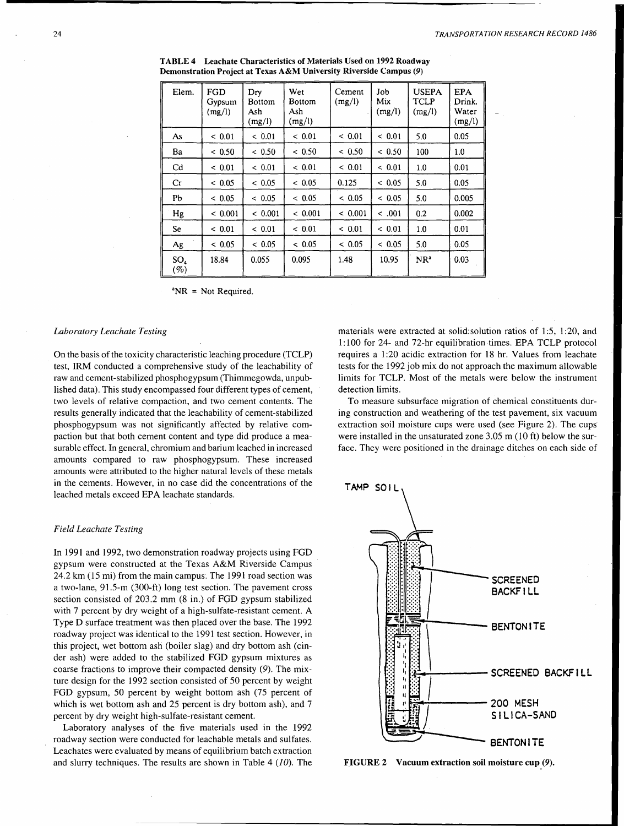| Elem.                     | FGD<br>Gypsum<br>(mg/l) | Dry<br>Bottom<br>Ash<br>(mg/l) | Wet<br>Bottom<br>Ash<br>(mg/l) | Cement<br>(mg/l) | Job<br>Mix<br>(mg/l) | <b>USEPA</b><br>TCLP<br>(mg/l) | <b>EPA</b><br>Drink.<br>Water<br>(mg/l) |
|---------------------------|-------------------------|--------------------------------|--------------------------------|------------------|----------------------|--------------------------------|-----------------------------------------|
| As                        | ${}< 0.01$              | < 0.01                         | < 0.01                         | ${}< 0.01$       | < 0.01               | 5.0                            | 0.05                                    |
| Ba                        | < 0.50                  | ${}< 0.50$                     | < 0.50                         | < 0.50           | ${}< 0.50$           | 100                            | 1.0                                     |
| Cd                        | ${}< 0.01$              | ${}< 0.01$                     | ~<~0.01                        | ${}< 0.01$       | < 0.01               | 1.0                            | 0.01                                    |
| Cr                        | < 0.05                  | ~< 0.05                        | ~<~0.05                        | 0.125            | < 0.05               | 5.0                            | 0.05                                    |
| Pb                        | < 0.05                  | ~<~0.05                        | ~<~0.05                        | < 0.05           | < 0.05               | 5.0                            | 0.005                                   |
| Hg                        | ${}< 0.001$             | < 0.001                        | < 0.001                        | < 0.001          | < .001               | 0.2                            | 0.002                                   |
| Se                        | ${}< 0.01$              | < 0.01                         | ~<~0.01                        | < 0.01           | < 0.01               | 1.0                            | 0.01                                    |
| Ag                        | < 0.05                  | ~< 0.05                        | ~< 0.05                        | < 0.05           | < 0.05               | 5.0                            | 0.05                                    |
| SO <sub>4</sub><br>$(\%)$ | 18.84                   | 0.055                          | 0.095                          | 1.48             | 10.95                | NR <sup>a</sup>                | 0.03                                    |

TABLE 4 Leachate Characteristics of Materials Used on 1992 Roadway Demonstration Project at Texas A&M University Riverside Campus (9)

 $NR$  = Not Required.

#### *Laboratory Leachate Testing*

On the basis of the toxicity characteristic leaching procedure (TCLP) test, IRM conducted a comprehensive study of the leachability of raw and cement-stabilized phosphogypsum (Thimmegowda, unpublished data). This study encompassed four different types of cement, two levels of relative compaction, and two cement contents. The results generally indicated that the leachability of cement-stabilized phosphogypsum was not significantly affected by relative compaction but that both cement content and type did produce a measurable effect. In general, chromium and barium leached in increased amounts compared to raw phosphogypsum. These increased amounts were attributed to the higher natural levels of these metals in the cements. However, in no case did the concentrations of the leached metals exceed EPA leachate standards.

#### *Field Leachate Testing*

In 1991 and 1992, two demonstration roadway projects using FGD gypsum were constructed at the Texas A&M Riverside Campus 24.2 km (15 mi) from the main campus. The 1991 road section was a two-lane, 91.5-m (300-ft) long test section. The pavement cross section consisted of 203.2 mm (8 in.) of FGD gypsum stabilized with 7 percent by dry weight of a high-sulfate-resistant cement. A Type D surface treatment was then placed over the base. The 1992 roadway project was identical to the 1991 test section. However, in this project, wet bottom ash (boiler slag) and dry bottom ash ( cinder ash) were added to the stabilized FGD gypsum mixtures as coarse fractions to improve their compacted density (9). The mixture design for the 1992 section consisted of 50 percent by weight FGD gypsum, 50 percent by weight bottom ash (75 percent of which is wet bottom ash and 25 percent is dry bottom ash), and 7 percent by dry weight high-sulfate-resistant cement.

Laboratory analyses of the five materials used in the 1992 roadway section were conducted for leachable metals and sulfates. Leachates were evaluated by means of equilibrium batch extraction and slurry techniques. The results are shown in Table  $4(10)$ . The materials were extracted at solid:solution ratios of 1:5, 1:20, and 1: 100 for 24- and 72-hr equilibration times. EPA TCLP protocol requires a 1 :20 acidic extraction for 18 hr. Values from leachate tests for the 1992 job mix do not approach the maximum allowable limits for TCLP. Most of the metals were below the instrument detection limits.

To measure subsurface migration of chemical constituents during construction and weathering of the test pavement, six vacuum extraction soil moisture cups were used (see Figure 2). The cups· were installed in the unsaturated zone 3.05 m (10 ft) below the surface. They were positioned in the drainage ditches on each side of



FIGURE 2 Vacuum extraction soil moisture cup (9).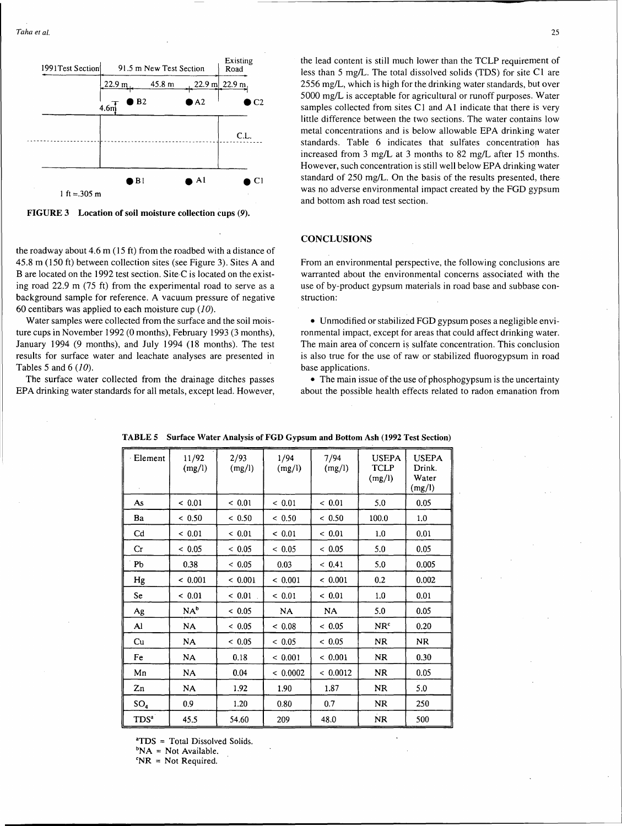

FIGURE 3 Location of soil moisture collection cups (9).

the roadway about 4.6 m (15 ft) from the roadbed with a distance of 45.8 m (150 ft) between collection sites (see Figure 3). Sites A and B are located on the 1992 test section. Site C is located on the existing road 22.9 m (75 ft) from the experimental road to serve as a background sample for reference. A vacuum pressure of negative 60 centibars was applied to each moisture cup  $(10)$ .

Water samples were collected from the surface and the soil moisture cups in November 1992 (0 months), February 1993 (3 months), January 1994 (9 months), and July 1994 (18 months). The test results for surface water and leachate analyses are presented in Tables 5 and 6  $(10)$ .

The surface water collected from the drainage ditches passes EPA drinking water standards for all metals, except lead. However, the lead content is still much lower than the TCLP requirement of less than 5 mg/L. The total dissolved solids (TDS) for site Cl are 2556 mg/L, which is high for the drinking water standards, but over 5000 mg/L is acceptable for agricultural or runoff purposes. Water samples collected from sites Cl and Al indicate that there is very little difference between the two sections. The water contains low metal concentrations and is below allowable EPA drinking water standards. Table 6 indicates that sulfates concentration has increased from 3 mg/L at 3 months to 82 mg/L after 15 months. However, such concentration is still well below EPA drinking water standard of 250 mg/L. On the basis of the results presented, there was no adverse environmental impact created by the FGD gypsum and bottom ash road test section.

# **CONCLUSIONS**

From an environmental perspective, the following conclusions are warranted about the environmental concerns associated with the use of by-product gypsum materials in road base and subbase construction:

• Unmodified or stabilized FGD gypsum poses a negligible environmental impact, except for areas that could affect drinking water. The main area of concern is sulfate concentration. This conclusion is also true for the use of raw or stabilized fluorogypsum in road base applications.

• The main issue of the use of phosphogypsum is the uncertainty about the possible health effects related to radon emanation from

| Element          | 11/92<br>(mg/l) | 2/93<br>(mg/l) | 1/94<br>(mg/l) | 7/94<br>(mg/l) | <b>USEPA</b><br><b>TCLP</b><br>(mg/l) | <b>USEPA</b><br>Drink.<br>Water<br>(mg/l) |
|------------------|-----------------|----------------|----------------|----------------|---------------------------------------|-------------------------------------------|
| As               | ${}< 0.01$      | < 0.01         | < 0.01         | < 0.01         | 5.0                                   | 0.05                                      |
| Ba               | ${}< 0.50$      | ${}< 0.50$     | < 0.50         | ${}< 0.50$     | 100.0                                 | 1.0                                       |
| Cd               | < 0.01          | ${}< 0.01$     | ${}< 0.01$     | < 0.01         | 1.0                                   | 0.01                                      |
| Cr               | < 0.05          | ${}< 0.05$     | ${}< 0.05$     | ~<~0.05        | 5.0                                   | 0.05                                      |
| Pb               | 0.38            | ${}< 0.05$     | 0.03           | < 0.41         | 5.0                                   | 0.005                                     |
| Hg               | ${}< 0.001$     | ${}< 0.001$    | ${}< 0.001$    | < 0.001        | 0.2                                   | 0.002                                     |
| Se               | ${}< 0.01$      | ${}< 0.01$     | < 0.01         | ${}< 0.01$     | 1.0                                   | 0.01                                      |
| Ag               | $NA^b$          | < 0.05         | NA             | <b>NA</b>      | 5.0                                   | 0.05                                      |
| Al               | <b>NA</b>       | < 0.05         | < 0.08         | ~< 0.05        | NR <sup>c</sup>                       | 0.20                                      |
| Cu               | NA              | ${}< 0.05$     | ~<~0.05        | ${}< 0.05$     | NR.                                   | NR                                        |
| Fe               | <b>NA</b>       | 0.18           | ${}< 0.001$    | ${}< 0.001$    | <b>NR</b>                             | 0.30                                      |
| Mn               | <b>NA</b>       | 0.04           | < 0.0002       | < 0.0012       | <b>NR</b>                             | 0.05                                      |
| Zn               | NA              | 1.92           | 1.90           | 1.87           | NR.                                   | 5.0                                       |
| SO <sub>4</sub>  | 0.9             | 1.20           | 0.80           | 0.7            | <b>NR</b>                             | 250                                       |
| TDS <sup>a</sup> | 45.5            | 54.60          | 209            | 48.0           | <b>NR</b>                             | 500                                       |

TABLE 5 Surface Water Analysis of FGD Gypsum and Bottom Ash (1992 Test Section)

<sup>a</sup>TDS = Total Dissolved Solids.

 $bNA = Not Available.$ 

 $^{\circ}NR = Not Required$ .